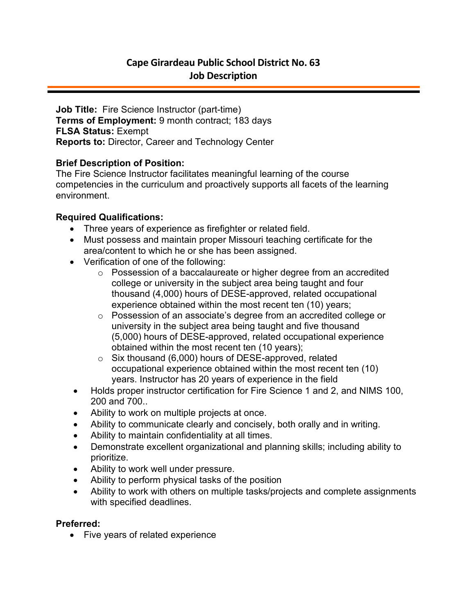**Job Title:** Fire Science Instructor (part-time) **Terms of Employment:** 9 month contract; 183 days **FLSA Status:** Exempt **Reports to:** Director, Career and Technology Center

### **Brief Description of Position:**

The Fire Science Instructor facilitates meaningful learning of the course competencies in the curriculum and proactively supports all facets of the learning environment.

### **Required Qualifications:**

- Three years of experience as firefighter or related field.
- Must possess and maintain proper Missouri teaching certificate for the area/content to which he or she has been assigned.
- Verification of one of the following:
	- o Possession of a baccalaureate or higher degree from an accredited college or university in the subject area being taught and four thousand (4,000) hours of DESE-approved, related occupational experience obtained within the most recent ten (10) years;
	- o Possession of an associate's degree from an accredited college or university in the subject area being taught and five thousand (5,000) hours of DESE-approved, related occupational experience obtained within the most recent ten (10 years);
	- o Six thousand (6,000) hours of DESE-approved, related occupational experience obtained within the most recent ten (10) years. Instructor has 20 years of experience in the field
- Holds proper instructor certification for Fire Science 1 and 2, and NIMS 100, 200 and 700..
- Ability to work on multiple projects at once.
- Ability to communicate clearly and concisely, both orally and in writing.
- Ability to maintain confidentiality at all times.
- Demonstrate excellent organizational and planning skills; including ability to prioritize.
- Ability to work well under pressure.
- Ability to perform physical tasks of the position
- Ability to work with others on multiple tasks/projects and complete assignments with specified deadlines.

#### **Preferred:**

• Five years of related experience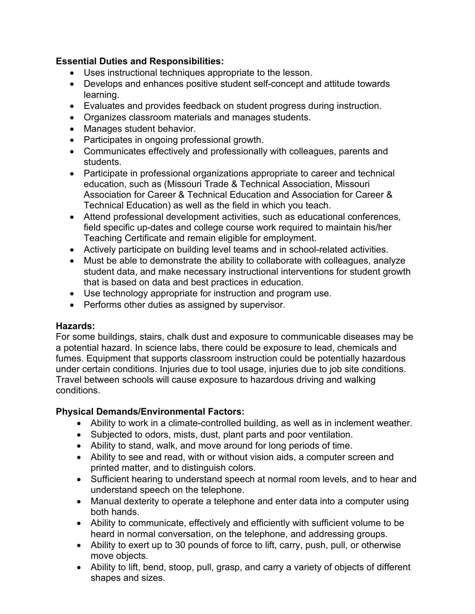# **Essential Duties and Responsibilities:**

- Uses instructional techniques appropriate to the lesson.
- Develops and enhances positive student self-concept and attitude towards learning.
- Evaluates and provides feedback on student progress during instruction.
- Organizes classroom materials and manages students.
- Manages student behavior.
- Participates in ongoing professional growth.
- Communicates effectively and professionally with colleagues, parents and students.
- Participate in professional organizations appropriate to career and technical education, such as (Missouri Trade & Technical Association, Missouri Association for Career & Technical Education and Association for Career & Technical Education) as well as the field in which you teach.
- Attend professional development activities, such as educational conferences, field specific up-dates and college course work required to maintain his/her Teaching Certificate and remain eligible for employment.
- Actively participate on building level teams and in school-related activities.
- Must be able to demonstrate the ability to collaborate with colleagues, analyze student data, and make necessary instructional interventions for student growth that is based on data and best practices in education.
- Use technology appropriate for instruction and program use.
- Performs other duties as assigned by supervisor.

## **Hazards:**

For some buildings, stairs, chalk dust and exposure to communicable diseases may be a potential hazard. In science labs, there could be exposure to lead, chemicals and fumes. Equipment that supports classroom instruction could be potentially hazardous under certain conditions. Injuries due to tool usage, injuries due to job site conditions. Travel between schools will cause exposure to hazardous driving and walking conditions.

# **Physical Demands/Environmental Factors:**

- Ability to work in a climate-controlled building, as well as in inclement weather.
- Subjected to odors, mists, dust, plant parts and poor ventilation.
- Ability to stand, walk, and move around for long periods of time.
- Ability to see and read, with or without vision aids, a computer screen and printed matter, and to distinguish colors.
- Sufficient hearing to understand speech at normal room levels, and to hear and understand speech on the telephone.
- Manual dexterity to operate a telephone and enter data into a computer using both hands.
- Ability to communicate, effectively and efficiently with sufficient volume to be heard in normal conversation, on the telephone, and addressing groups.
- Ability to exert up to 30 pounds of force to lift, carry, push, pull, or otherwise move objects.
- Ability to lift, bend, stoop, pull, grasp, and carry a variety of objects of different shapes and sizes.